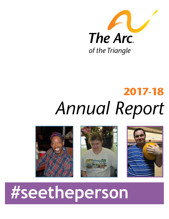

## **2017-18** *Annual Report*







# **#seetheperson**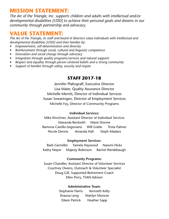### **MISSION STATEMENT:**

*The Arc of the Triangle, Inc. supports children and adults with intellectual and/or developmental disabilities [I/DD] to achieve their personal goals and dreams in our community through partnership and advocacy.*

#### **VALUE STATEMENT:**

*The Arc of the Triangle, its staff and board of directors value individuals with intellectual and developmental disabilities [I/DD] and their families by:*

- *• Empowerment, self-determination and diversity*
- *• Reinforcement through social, cultural and linguistic competence*
- *• Innovation and social change through advocacy*
- *• Integration through quality programs/services and natural supports*
- *• Respect and equality through person centered beliefs and a strong community*
- *• Support of families through safety, security and respite*

#### **STAFF 2017-18**

Jennifer Pfaltzgraff, Executive Director Lisa Maier, Quality Assurance Director Michelle Merritt, Director of Individual Services Susan Swearingen, Director of Employment Services Michelle Foy, Director of Community Programs

#### **Individual Services:**

Mike Kirschner, Assistant Director of Individual Services Maranda Beckwith Marie Dionne Ramona Castillo-Segoviano WIll Goble Trista Palmer Nicole Dennis Amanda Hall Steph Madara

#### **Employment Services:**

Barb Germiller Tamela Haywood Naiomi Hicks Kathy Mayer Majesty Robinson Rachel Werdebaugh

#### **Community Programs:**

Susan Chandler, Assistant Director of Volunteer Services Courtney Owens, Outreach & Volunteer Specialist Doug Gill, Supported Retirement Coach Ellen Perry, TSAN Advisor

#### **Administrative Team:**

Stephanie Harris Kenneth Kelty Shauna Leng Marilyn Monroe Eileen Patrick Heather Sapp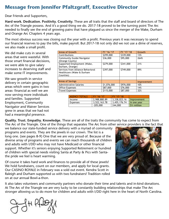#### **Message from Jennifer Pfaltzgraff, Executive Director**

Dear Friends and Supporters,

**Hard work. Dedication. Positivity. Creativity.** These are all traits that the staff and board of directors of The Arc of the Triangle possess. And it's a good thing we do. 2017-18 proved to be the turning point The Arc needed to finally see the end of growing pains that have plagued us since the merger of the Wake, Durham and Orange Arc Chapters 4 years ago.

The most obvious success was closing out the year with a profit. Previous years it was necessary to spend our financial reserves to pay the bills, make payroll. But 2017-18 not only did we not use a dime of reserves, we also made a small profit.

We did make cuts in several areas that were wasteful. With those smart financial decisions, we were able to give salary increases to deserving staff and make some IT improvements.

We saw growth in service delivery in certain geographic areas which were gains in two areas- financial as well we are now serving more individuals and families. Supported Employment, Community Navigator and Waiver Services grew in areas that we had not had a meaningful presence.

| Areas of Growth                   | FY '16-'17  | FY '17-'18 | Growth      |
|-----------------------------------|-------------|------------|-------------|
| Contributions                     | \$299,000   | \$339,000  | 13%         |
| <b>Community Guide/Navigator</b>  | \$36,000    | \$95,000   | 264%        |
| (Orange County)                   |             |            |             |
| Supported Employment (Wake,       | \$279,000   | \$341,000  | 21%         |
| Durham, Orange)                   |             |            |             |
| Services from Alliance Behavioral | \$397,000   | \$749,000  | 89%         |
| Healthcare (Wake & Durham         |             |            |             |
| Counties)                         |             |            |             |
|                                   |             |            |             |
| <b>Areas of Savings</b>           |             |            | Improvement |
| Administrative Salaries           | \$1,076,000 | \$976,000  | 10%         |
| <b>Office Expenses</b>            | \$87,000    | \$76,000   | 14%         |
| <b>Travel Expenses</b>            | \$115,000   | \$87,000   | 32%         |
|                                   |             |            |             |

| <b>AGENCY TOTALS</b> | FY '16-'17   | FY '17-'18     |               |
|----------------------|--------------|----------------|---------------|
| Income               | 2,988,880.89 | 1,3,338,023.16 | Improvement   |
| <b>Expenses</b>      | 3,522,163.78 | 3,455,176.74   | In one year   |
|                      | $-205,000$   | 244,000        | $5\%$ million |

**Quality. Trust. Empathy. Knowledge.** These are all of the traits the community has come to expect from The Arc of the Triangle. One of the things that separates The Arc from other service providers is the fact that

we balance our state-funded service delivery with a myriad of community programs and events. They are the jewels in our crown. The list is a long one. (see pages 8-9) One that we are very proud of. Because of the diverse array of programs and events we can reach thousands of children and adults with I/DD who may not have Medicaid or other financial support. Whether it's seniors enjoying Supported Retirement or hundred of children with special needs visiting Santa at Party & Pics with Santathe pride we feel is heart warming.

Of course it takes hard work and finances to provide all of these jewels! We hold fundraisers, count on our members, and apply for local grants. Our CASINO ROYALE in February was a sold out event. Kendra Scott in Raleigh and Durham supported us with two fundraisers! Tradition rolled on at our annual Bowl-a-thon.



It also takes volunteers and community partners who donate their time and talents and in-kind donations. At The Arc of the Triangle we are very lucky to be constantly building relationships that make The Arc stronger allowing us to do more for children and adults with I/DD right here in the heart of North Carolina.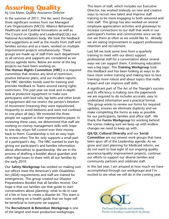### **Assuring Quality**

by Lisa Maier, Quality Assurance Director

In the summer of 2017, The Arc went through three significant reviews from our Managed Care Organizations (MCO): Alliance Behavioral Healthcare and Cardinal Innovations as well as The Council on Quality and Leadership(CQL) our National Accreditation body. We took the feedback and suggestions as well as the results from staff and families surveys and as a team, worked on multiple improvement projects simultaneously. These groups are made up of staff from each department so all services and supports are considered as we discuss agenda items. Below are some of the big projects we have been working on.

**The Human Rights Committee (HRC)** is a required committee that reviews any kind of restriction, positive behavior plans, and our incident reports. The HRC identifies trends used for training and provides feedback to Teams around easing rights restrictions. This past year we took and in-depth look at protective equipment to make sure participants with bed rails, lap belts and other kinds of equipment did not restrict the person's freedom of movement (meaning they were repositioned frequently to avoid bedsores and were not confined to one place all day). We reviewed the three people we support as their representative-payee. In reviewing these cases, we determined that staff are working on money management skills with hope to one-day return full control over their money back to them. Guardianship is not an easy topic to review when The Arc only supports a small part of a participant's day. The HRC wanted to start by giving our participant's and families information about alternatives to guardianship. We are in the process of drafting a booklet about guardian and other legal issues to share with all our families by the early 2019.

Our **Safety Workgroup** has worked on making sure our offices meet the American's with Disabilities Act (ADA) requirements and staff are trained for emergencies. This group created our Disaster Preparedness Booklet that all families receive. Our hope is that our families use that guide to start conversations about planning- what to do in case of a fire or how to create a disaster kit. This team is now working on a health guide that we hope will be beneficial to everyone we support.

The **Recruitment & Retention Workgroup** is one of the largest and most productive workgroups.

This team of staff, which includes our Executive Director, has worked tirelessly on new and creative ways to recruit new talent and improve staff training to be more engaging to both seasoned and new staff. This group has also worked on several employee appreciation activities and giveaways to increase connections to our staff that work in our participant's homes and communities since we do not see them as often as we would like to. Already we are seeing improvement in support professional retention and recruitment.

Last fall we took some time from a quarterly training to meet with our direct support professional staff for a conversation about several ways we can support them. Continuing education was a big topic. The **Training Workgroup** took this feedback and has been looking at ways to do have more online training and making face to face trainings more robust and about topics that really impact and can improve staff skills.

A significant part of The Arc of the Triangle's success and its efficiency is making sure the paperwork we are required to do includes accurate, easy to understand information and a practical format. This group works to review our forms for required updates, ensures we eliminate duplicity and we make completing the forms as easy as possible for our participants, families and office staff. We thank the **Forms Workgroup** for working behind the scenes making sure we keep up with endless changes we need to keep up with.

**QA/QI, Cultural Diversity** and our **Social Committee** are our newest work groups that have been spun off of the Leadership agenda. As we grow and start planning for Medicaid reform, we do not want to lose sight of our ongoing quality assurance/quality improvement projects, continue our efforts to support our diverse families and community partners and celebrate staff.

In this last year, I am amazed at how much we have accomplished through our workgroups and I'm excited to see what we will do in the coming year.



The Council on Quality and Leadership Partners in Excellence: Laadership for the Journey.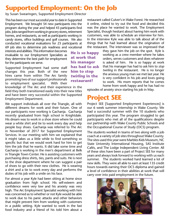### **Supported Employment: On the Job**

by Susan Swearingen, Supported Employment Director

This has been our most successful year to date in Supported Employment. We brought 54 new participants into the program during the year and helped 43 participants find jobs. Jobs ranged from working in grocery stores, retirement homes, and restaurants, as well as participants working in candy stores, office buildings and golf courses. We also conducted vocational evaluations for 23 participants at 69 job sites to determine job readiness and vocational

interests and abilities. This information becomes invaluable to our Employment Specialists as they determine the best path for employment for the participants we serve.

Supported Employment had some staff changes this year. Both of the new hires came from within The Arc family promoting two of our support professionals to employment specialist. With their

knowledge of The Arc and their experience in the field they both transitioned easily into their new titles and have been very successful within the Supported Employment Department.

We support individuals all over the Triangle, all with different dreams for work and their future. One of our participants now working is Gachanja. Gachanja recently graduated from high school in Knightdale. His dream was to work in a shoe store where he could wear a white shirt and tie to work every day and help people buy shoes. Gachanja was referred to The Arc in November of 2017 for Supported Employment Services. In our meeting with him we explained that it might takes us a little while to find something so specific but that we would work hard for him to get him the job that he wants. It did take some time and Gachanja is working in the men's department at Belk in Triangle Town Center. He is assisting customers with purchasing dress shirts, ties, pants and suits. He is next to the shoe department where he can suggest a pair of shoes to go with their new clothes. He is wearing a shirt and a tie to work every day and performs the duties of his job with a smile on his face.

For almost a year Kyle had been sitting at home since graduation from high school. His self-esteem and confidence were very low and his anxiety was very high. The Arc Employment Specialist working with him was concerned as to whether or not Kyle would be able to work due to his panic attacks and other behaviors that might prevent him from working with customers in a public setting. Kyle wanted to work in the fast food industry and a friend of his told him about a

restaurant called Culver's in Wake Forest. He researched it online, visited to try out the food and decided this was the place he wanted to work. The Employment Specialist, though hesitant about having him work with customers, was able to schedule an interview for him. In the interview Kyle was able to talk about all of the things that he had learned about the origination of the restaurant. The interviewer was so impressed that

He is so happy at work that his manager has had to ask him to stop twirling in the restaurant!

they gave him the job on the spot. Kyle is working as a crew member where he takes orders, serves customers and does whatever is asked of him. He is so happy at work that his manager has had to ask him to *stop twirling* in the restaurant. He is no longer the anxious young man we met last year. He is very confident in his job and loves going to work. His mom reports that he comes home from work happy and he has had no

episodes of anxiety since starting his job in May.

### **Project SEE**

Project SEE [Supported Employment Experiences] is our 6 week summer internship in Wake County. We had a successful summer with the 10 students who participated this year. The program struggled to get participants who met all of the qualifications despite our partnership with Wake County Public Schools and the Occupational Course of Study (OCS) program.

The students worked in teams of two along with a job coach at a variety of job sites throughout Wake County. The sites used this year were Marbles Kids Museum, NC State University International Housing, SAS Institute Cafés, and The Lodge Independent Living Center. All of these sites have been a part of Project SEE for many years and always look forward to working with us each summer. The students worked hard learned a lot of new skills. They were all able to earn at least 135 credit hours towards earning their OCS diploma and gained a level of confidence in their abilities at work that will carry over into paid employment in the future.

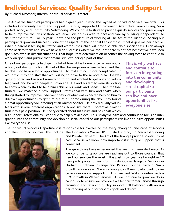### **Individual Services: Quality Services and Support**

by Michael Kirschner, Interim Individual Services Director

The Arc of the Triangle's participants had a great year utilizing the myriad of Individual Services we offer. This includes Community Living and Supports, Respite, Supported Employment, Alternative Family Living, Supported Living, and Community Networking. We continue to strive to provide quality services and pursue ways to help improve the lives of those we serve. We do this with respect and care by building independent life skills for the future. For 15 years I have had the pleasure of working at The Arc of the Triangle. Seeing our participants grow and succeed is one of the aspects of the job that I enjoy most. It helps give me perspective. When a parent is feeling frustrated and worries their child will never be able do a specific task, I can always come back to them and say we have seen successes where we thought there might not be; that we have seen goals achieved in difficult situations. That hope, that determination becomes the driving force to continue to work on goals and pursue that dream. We love being a part of that.

One of our participants had spent a lot of time at his home once he was out of school, not doing much at all. Part of the challenge was where he lives and that he does not have a lot of opportunities. To make things more complicated, it was difficult to find staff that was willing to drive to the remote area. He was getting bored and needed something to do and wanted to get out and volunteer, work and be with people his own age. He and his family were struggling to know where to start to help him achieve his wants and needs. Then the tide turned, we matched a new Support Professional with him and that's when things started to improve. She went beyond what was expected helping him to discover opportunities to get him out of his home during the day. They found a great opportunity volunteering at an Animal Shelter. He now regularly volunteers with several different organizations. A one site there is potential it might turn into a paid position. He is very excited about his future and has goals which This is why we have and continue to focus on integrating into the community and developing social capital so our participants can live and have opportunities like everyone else.

his Support Professional will continue to help him achieve. This is why we have and continue to focus on integrating into the community and developing social capital so our participants can live and have opportunities like everyone else.

The Individual Services Department is responsible for overseeing the every changing landscape of services and their funding sources. This includes the Innovations Waiver, IPRS State Funding, B3 Medicaid funding



and Private Payment. The Arc of the Triangle provides continuity of care because we know how important it is to give support that is consistent.

The growth we have experienced this year has been deliberate. As we continue to grow we are reaching out to those counties that need our services the most. This past fiscal year we brought in 12 new participants for our Community Guide/Navigator Services in Durham, Chatham, Orange and Person Counties with a 264% growth in one year. We also brought in 9 new participants to receive one-on-one supports in Durham and Wake counties with a 89% growth in Waiver Services. As we continue to grow we do so cautiously to ensure we provide excellent customer service through recruiting and retaining quality support staff balanced with an understanding of our participants goals and dreams.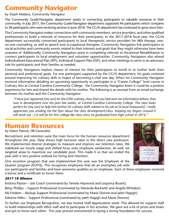### **Community Navigator**

by Steph Madara, Community Navigator

The Community Guide/Navigator department assists in connecting participants to valuable resources in their community. In July 2017, the Community Guide/Navigator department supported 46 participants which compares to 58 participants who were receiving services in June 2018. The CG/N department has continued to grow since then.

The Community Navigator makes connections with community members, service providers, and other qualified professionals to build a network of resources for their participants. In the 2017-2018 fiscal year, the CG/N department successfully connected participants to local therapeutic service providers for ABA therapy, oneon-one counseling, as well as speech and occupational therapies. Community Navigators link participants to social activities and community events related to their interests and goals that they might otherwise have been unaware of. Additionally, Community Navigators assist in completing referrals to Vocational Rehabilitation to connect participants to local employment and volunteer opportunities. Community Navigators also attend Individualized Educational Plan (IEP), Individual Support Plan (ISP), and other meetings to serve in an advocacy role for participants and their families as needed.

Community Navigators explore classes of interest for their participants to enroll in to further both their personal and professional goals. For one participant supported by the CG/N department, his goals centered around improving his culinary skills in hopes of becoming a chef one day. When his Community Navigator received information detailing an upcoming opportunity to participate in a "Career College" level course in Culinary Arts at Central Carolina Community College, the Community Navigator knew it could be a positive experience for him and shared the details with his mother. The following is an excerpt from an email exchange between his mother and the Community Navigator:

*"I have just registered [my son] for the I/DD culinary class that you had sent me information before, that was in development over the past few weeks, at Central Carolina Community College. The class looks perfect for [my son] to help him further his culinary skills related to his job at [a local restaurant]. I really appreciate you sending me the flyer about the class development/class. Keeping my fingers crossed it will work out :-) It will be his first college like class since he graduated from high school in 2016."*

### **Human Resources**

by Eileen Patrick, HR Generalist

Recruitment and retention were the main focus for the human resources department throughout the year. Data shows high turnover rates in the direct care profession. We implemented diverse strategies to measure and improve our retention rates. We stabilized our hourly wage and shifted focus onto employee satisfaction. As well, we targeted areas to maximize our candidate pool. This made it so that we ended the year with a very positive outlook for hiring and retention.

One incentive program that was implemented this year was the Employee of the Quarter program (EOTQ). This recognizes employees that do an exemplary job with

our participants and families and have awesome qualities as an employee. Each of these employees received a bonus and a certificate to honor them.

#### *2017-18 Winners*

Kristina Payton – Job Coach (nominated by Tamela Haywood and Lequinta Bryant) Betsy Phillips – Support Professional (nominated by Maranda Beckwith and Angela Whitaker) MJ Fredeen – Backup Support Professional (nominated by Marie Dionne and Jaleh Hagigh) Edwena Miles – Support Professional (nominated by Jaleh Hagigh and Marie Dionne)

To further our Employee Recognition, we also hosted Staff Appreciation week. This allowed for support staff to build relationships with office staff and to participate in fun activities. We gave out a lot of prizes and treats and got to know each other. This year proved instrumental in laying a strong foundation for success.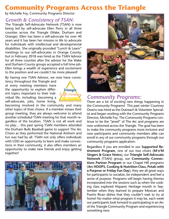### **Community Programs Across the Triangle**

by Michelle Foy, Community Programs Director

#### *Growth & Consistency of TSAN:*

The Triangle Self-Advocate Network (TSAN) is now being led by self-advocate Ellen Perry in all three counties across the Triangle (Wake, Durham and Orange). Ellen has been a self-advocate for over 40 years and it has been her mission in life to advocate for individuals with intellectual and developmental disabilities. She originally provided "Lunch & Learn" meetings to our self-advocates in Orange County, but in February 2018 was hired as the TSAN Advisor for all three counties after the advisor for the Wake and Durham County groups accepted a full time job. Ellen brings a wealth of experience and excitement to the position and we couldn't be more pleased!

By having one TSAN Advisor, we now have consis-

tency throughout the Triangle and at every meeting members have the opportunity to explore different topics important to their individual life, including: becoming a self-advocate, jobs, home living,



becoming involved in the community and many other topics of their choice. If a member misses their group meeting, they are always welcome to attend another scheduled TSAN meeting for that month regardless of the location. TSAN is not all work and no play… this past spring TSAN members attended the Durham Bulls Baseball game to support The Arc Choirs as they performed the National Anthem and fun was had by all. TSAN not only offers individuals with I/DD an opportunity to learn and make connections in their community, it also offers members an opportunity to make new friends and enjoy getting together!





### *Community Programs:*

There are a lot of exciting new things happening in the Community Programs! This past winter Courtney Owens was hired as the Outreach & Volunteer Specialist and began working with the Community Programs Director, Michelle Foy. The Community Programs continue to be the "jewel" of The Arc and programs are now uniformed across the Triangle. The goal has been to make the community programs more inclusive and now participants and community members alike can enroll in any of our community programs through our community programs application.

Regardless if you are enrolled in our **Supported Retirement Program**, one of our two choirs (**M'n'M Singers & Grace Notes**), our **Triangle Self-Advocate Network** (TSAN) group, our **Community Connections Partner Program** or our Chapel Hill programs (**Arc HOOPS, Cooking & Nutrition Class, Petals with a Purpose or Friday Fun Day**), they are all great ways for participants to socialize, be independent and feel a sense of purpose. Programs will begin having themes incorporated into the sessions such as when the cooking class explored Hispanic Heritage month in September when they learned to prepare Mexican and Puerto Rican dishes that they couldn't wait to try at home! No matter what program it may be, each week our participants look forward to participating in an Arc of the Triangle Community Program and experiencing something new.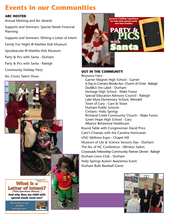### **Events in our Communities**

#### **ARC HOSTED**

Annual Meeting and Arc Awards

Supports and Seminars: Special Needs Financial Planning

Supports and Seminars: Writing a Letter of Intent

Family Fun Night @ Marbles Kids Museum

Spooktacular @ Marbles Kids Museum

Party & Pics with Santa - Durham

Party & Pics with Santa - Raleigh

Community Holiday Party

Arc Choirs Talent Show





*Workshop to get started writing yours.*







**DRop in when you Can. no RSVp neCeSSaRy.**

#### **OUT IN THE COMMUNITY**

Resource Fairs:

**or call 919-832-2660 x139** Garner Magnet High School - Garner A Day to Connect Brooks Ave. Church of Christ - Raleigh DisABLE the Label - Durham Heritage High School - Wake Forest Special Education Advisory Council - Raleigh Lake Myra Elementary School, Wendell Town of Cary - Care & Share Durham Public Schools Civitans- Holly Springs Richland Creek Community Church - Wake Forest Green Hope High School - Cary Alliance Behavioral Healthcare Round Table with Congressman David Price Cam's Champs with the Carolina Hurricanes UNC Wellness Expo - Chapel Hill Museum of Life & Science Sensory Day - Durham The Arc of NC Conference - Winston Salem Crossroads Fellowship Community Partner Dinner - Raleigh Durham Lions Club - Durham Holly Springs Autism Awareness Event Durham Bulls Baseball Game

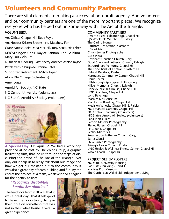### **Volunteers and Community Partners**

There are vital elements to making a successful non-profit agency. And volunteers and our community partners are one of the more important pieces. We recognize everyone who has helped out in some way with The Arc of the Triangle. **VOLUNTEERS:**

Arc Office: Chapel Hill Beth Foyle Arc Hoops: Kristen Brookshire, Matthew Fox Grace Notes Choir: Dona McNeill, Tony Scott, Eric Fisher M'n'M Singers Choir: Kaylee Bannon, Rob Gelblum, Mary Lou Gelblum Nutrition & Cooking Class: Sherry Anscher, Ashlee Taylor Petals with a Purpose: Panna Patel Supported Retirement: Mitch Taper Alpha Phi Omega (volunteers) Americorps Arnold Air Society, NC State NC Central Univerisity (volunteers) NC State's Arnold Air Society (volunteers)



**A Special Day:** On April 12, We had a workshop provided at no cost by The Zolor Group, a graphic facilitating firm, that led us through the steps of discussing the brand of The Arc of the Triangle. Not only did it help us to really talk about our image and how we get our message out to the community it was also a great day of team building and fun. By the end of the project, as a team, we developed a tagline for the agency to use:

#### *"Recognize disabilities. Emphasize abilities."*

The feedback from staff was that it was a great day. That it felt good to have the opportunity to give their input on something that was not in their wheelhouse. Overall a great experience.

#### **COMMUNITY PARTNERS**

Amante Pizza, Falconbridge Chapel Hill BJ's Wholesale Warehouse, Raleigh The Caring House Carrboro Fire Station, Carrboro Chick-Fil-A Chuck Jaynes Photography Cici's Pizza Covenant Christian Church, Cary Good Shepherd Lutheran Church, Raleigh Extraordinary Ventures, Chapel Hill The Food Bank of Central & Eastern NC Habitat Re-Store, Durham Hargraves Community Center, Chapel Hill Harris Teeter Hillsborough Sportsplex, Hillsborough Hillyer Memorial Church, Raleigh HoneySuckle Tea House, Chapel Hill HOPE Gardens, Chapel Hill Long Beverages Marbles Kids Museum Mardi Gras Bowling, Chapel Hill Meals on Wheels, Chapel Hill & Raleigh NC Botanical Gardens, Chapel Hill NC Central Univerisity (volunteers) NC State's Arnold Air Society (volunteers) Papa John's Pizza Patricia Meszler Photography Planet Fitness, Chapel Hill PNC Bank, Chapel Hill Reality Ministries Resurrection Lutheran Church, Cary, Santa Claus! Steve Rubin Photography Triangle Grace Church, Durham UNC Health & Wellness Fitness Center, Chapel Hill Whole Foods, Chapel Hill

#### **PROJECT SEE EMPLOYERS:**

NC State, University Housing SAS Cafés, Buildings F and T Marbles Kids Museum The Gardens at Wakefield, Independent Living

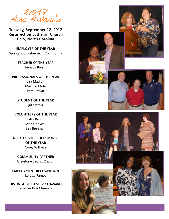<sup>2017</sup> Arc Awards

**Tuesday, September 12, 2017 Resurrection Lutheran Church Cary, North Carolina**

**EMPLOYER OF THE YEAR** Springmoor Retirement Community

> **TEACHER OF THE YEAR** Teyarda Bryant

**PROFESSIONALS OF THE YEAR** Lisa Madren Maegan Mohr Pam Brown

> **STUDENT OF THE YEAR** Julia Byass

**VOLUNTEERS OF THE YEAR** Kaylee Bannon Brian Gonyeau Lisa Brenman

**DIRECT CARE PROFESSIONAL OF THE YEAR** Corey Williams

**COMMUNITY PARTNER** Greystone Baptist Church

**EMPLOYMENT RECOGNITION** Loretta Ramos

**DISTINGUISHED SERVICE AWARD** Marbles Kids Museum











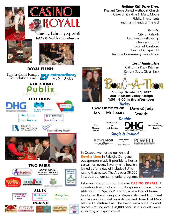*Holiday Gift Drive Elves:*

Pleasant Grove United Methodist Church Glaxo Smith Kline & Marty Moore Fidelity Investments and many friends of The Arc!

#### *Grants:*

City of Raleigh Crossroads Fellowship Orange County Town of Carrboro Town of Chapel Hill Triangle Community Foundation

*Local Fundrasiers*

California Pizza Kitchen Kendra Scott Gives Back



 **Sunday, October 15, 2017 AMF Pleasant Valley Raleigh 1:30 - 4:00 in the afternoon**

*Turkey* **Dave & Judy Woody Law Offices of Janet McLamb**

#### *Double*

**Amy Rosenthal & Josh Ravitch The Madden Family** *Single & In-Kind*

**BOWLMOR** AMF

**Art Warner &** 

DIXON HUGHES GOODMAN LLP

*Team Warner*

In October we hosted our Annual **Bowl-a-thon** in Raleigh. Our generous sponsors made it possible to host a casual, fun event. Seventy nine bowlers joined us for a day of inclusive FUNdraising that netted The Arc over \$8,000 in support of our community programs.



**The Stockley-Geringer Family**

February brought us our first ever **CASINO ROYALE**. An incredible line-up of community sponsors made it possible for us to "gamble" and try a new kind of formal fundraiser. It was a night of Vegas style gambling, silent and live auctions, delicious dinner and desserts at Marbles IMAX Venture Hall. The event was a huge sold-out success- raising over \$28,000 because our guests were all *betting on a good cause*!









TWO PAIRS *APPLE, KOCEJA* **HERITAGE** litations  $& ASSOCHTES, PA$ **CLEANE** WithersRavenel ALL IN **Marie Hughes The Rosanio Christine Ryan in honor of & Katie Holmes Family Ethan** IN-KIND not just Cocoa Forte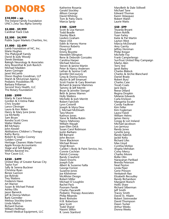## **DONORS**

#### **\$10,000 + up** The Ireland Family Foundation UNC's Zeta Tau Alpha Sorority

**\$5,000 - \$9,999** Cardinal Track Club

#### **\$2,500 - \$4,999** Publix Super Markets Charities, Inc.

#### **\$1,000 - \$2,499**

Lamb Foundation of NC, Inc. Marie Hughes The Pfaltzgraff Family David & Judy Woody Derek Elenbaas Raleigh Neurology & Associates Amy Rosenthal & Josh Ravitch Michael Madden Karen Geringer Janet McLamb Dixon Hughes Goodman, LLP Marsh & McLennan Agency Pediatric Possibilities PA Barbara Prillaman Second Story Health, LLC The Rotary Foundation

#### **\$500 - \$999**

Marty & Carol Moore Gordon & Cristina Flake Chris Snyder Lance Clevinger Laura & Ken Alden Hanry & Mary June Jones Lia McNeilly Sam Bryan Kendra Scott Gives Walter Walter Bill McNairy John Kessler Abilitations Children`s Therapy Kathy Burns Robert & Gladys Cooney Golden Corral Heritage Cleaners Wake Forest Apple Koceja Accountants Stage and Sell Raleigh Withers Ravenel Inc. Your Cause LLC

#### **\$250 - \$499**

United Way of Greater Kansas City Taylor Furr Sally & Serena Buckner Christine Ryan Renee Gannon Joe Bylinski Trey Watkins Frederick Haws Art Warner Susan & Michael Poteat Ashley Ellis Jason Barwick Jeff & Donna Melton Barb Germiller Melissa Stockley-Jones Linda Mathis Richard Dumas William Hoffman Powell Medical Equipment, LLC

Katherine Rosania Gerald Stockley Allison George David Whitney Tom & Patty Davis Marcia Spray

#### **\$100 - \$249**

Scott & Lisa Hanson Todd Beadle Stanley Black LeeAnn Graham Haws USA Edith & Harvey Horne Florence Roberts Doug Gill Emmy Boyette Meredith Ellington Rene & Deborah Gonzales Carolina Harper Michael Morrow Steven & Janine Martin Peter & Nancy Andersen Lathan & Serena Craft Jennifer DeCourcey Greg & Donna Downs Alyson & Jeff Emanuel Scott Frazier & Gary Bowman Richard & Jeanne Mammes Tammy & Jeff Merritt Bryan & Jennifer Stengel Beth & James Warren Holly Watkins Michelle & Josh Merritt Robert Faircloth Lynn Cotterill Joseph & Myra Dew J. Michael McElreath Tara Moore Kathryn Jones Steve & Melba Rubin Nancy Mahoney William Waugh Joan-Ellen Deck Susan Carol Robinson Justin Barbaro Bill Barnard John Becton Steve Blackmon Michael Brown Virgil Brown Carden`s Body & Paint Service, Inc. Connie Cochran Patrick Conway Randy Crawford Dawn Enochs Joseph Eule Albert & Suzanne Failla George Forrest Suzanne Jones Joe Kilsheimer McAllister Design Robert Miller Michael O`Loughlin Rachel Pack Poonam Pande Charles Pascarelli Pediatric Therapy Associates Philip Ribando Brent Rinholm H.B. Robertson Jane Scott Todd Shand Naomi Slifkin R. Lewis Stanford

MaryBeth & Dale Stillwell Michael Tane Edward Thomas Karen Velasquez Robert Walsh Laurie Watts

**\$50 -\$99** Teyarda Bryant Dawn Rohlik Yuan Farley Katie & Pat Martin Layton West Marcia McDonald Amy Garrity Jeffrey Horsman Philip Kregor Michelle Foy Frank Camperlengo SunTrust United Way Campaign Marlys Akin Terry Ard Janet Bailey Charles Blalock Charles & Archie Blanchard Daniel Brady Robert Bury Charles Case Tovah Coats Jack Davis Reese Dillard Regina Dropkin Melanie Edwards Carla Erickson Margarita Escaler Condy Faulkner Kim Feller Kim Fogleman Laura Fraioli William Helms James Henry Gregg & Lori Ireland Michael Jacobson Leo Jarmusz Randy Jones Lynette Jung Randy Kabrick Jackie Kelty Richard Liles Max Lloyd Cynthia McKee Angela Mehdian Corey Mercy Charles Moore Rollie Olin Narayanan Parlikad Brenda Peterson Neal Peyton Linda Piper Gene Presson Venkatesh Rao Elizabeth Recoulley Randy Richardson Margaret Roesch Hollis Shaw Richard Silberman Jeff Smith Tracey Smith David St. Hilaire Robert Steinroeder David Thompson Dawn Tucker Arthur Weeks Donna Weeks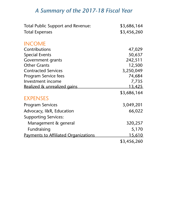### *A Summary of the 2017-18 Fiscal Year*

| <b>Total Public Support and Revenue:</b>    | \$3,686,164   |
|---------------------------------------------|---------------|
| <b>Total Expenses</b>                       | \$3,456,260   |
| <b>INCOME</b>                               |               |
| Contributions                               | 47,029        |
| <b>Special Events</b>                       | 50,637        |
| Government grants                           | 242,511       |
| <b>Other Grants</b>                         | 12,500        |
| <b>Contracted Services</b>                  | 3,250,049     |
| <b>Program Service fees</b>                 | 74,684        |
| Investment income                           | 7,735         |
| Realized & unrealized gains                 | <u>13,425</u> |
|                                             | \$3,686,164   |
| <b>EXPENSES</b>                             |               |
| <b>Program Services</b>                     | 3,049,201     |
| Advocacy, I&R, Education                    | 66,022        |
| <b>Supporting Services:</b>                 |               |
| Management & general                        | 320,257       |
| Fundraising                                 | 5,170         |
| <u>Payments to Affiliated Organizations</u> | <u>15,610</u> |
|                                             | \$3,456,260   |